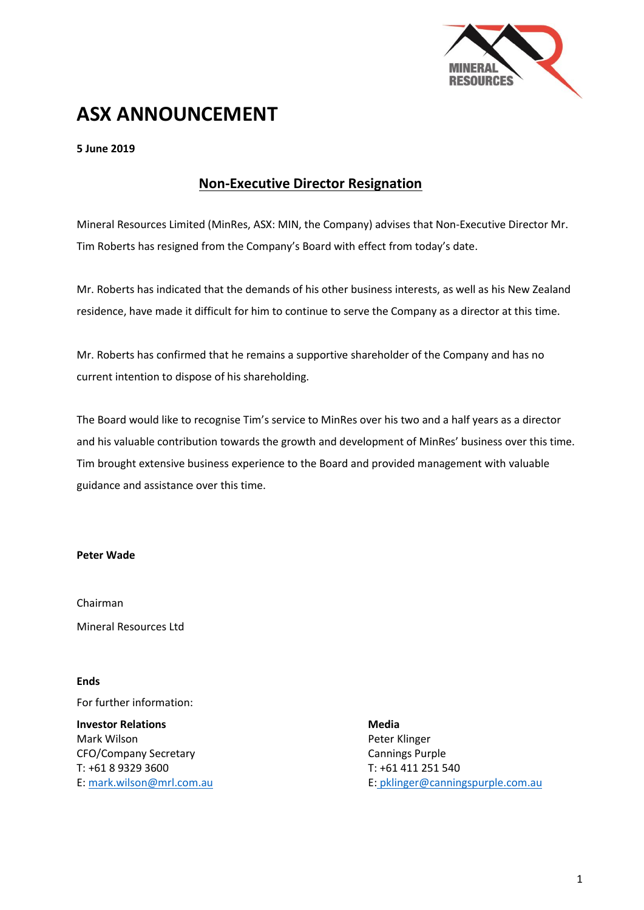

# **ASX ANNOUNCEMENT**

## **5 June 2019**

## **Non-Executive Director Resignation**

Mineral Resources Limited (MinRes, ASX: MIN, the Company) advises that Non-Executive Director Mr. Tim Roberts has resigned from the Company's Board with effect from today's date.

Mr. Roberts has indicated that the demands of his other business interests, as well as his New Zealand residence, have made it difficult for him to continue to serve the Company as a director at this time.

Mr. Roberts has confirmed that he remains a supportive shareholder of the Company and has no current intention to dispose of his shareholding.

The Board would like to recognise Tim's service to MinRes over his two and a half years as a director and his valuable contribution towards the growth and development of MinRes' business over this time. Tim brought extensive business experience to the Board and provided management with valuable guidance and assistance over this time.

#### **Peter Wade**

Chairman Mineral Resources Ltd

**Ends**

For further information:

**Investor Relations Media** Mark Wilson **Peter Klinger** Peter Klinger CFO/Company Secretary Cannings Purple T: +61 8 9329 3600 T: +61 411 251 540

E[: mark.wilson@mrl.com.au](mailto:mark.wilson@mrl.com.au) E: [pklinger@canningspurple.com.au](mailto:pklinger@canningspurple.com.au)